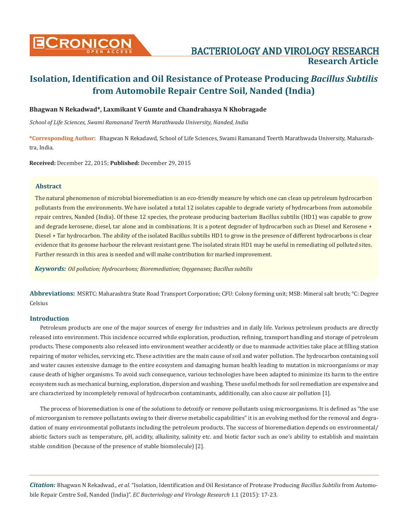

## BACTERIOLOGY AND VIROLOGY RESEARCH **Research Article**

# **Isolation, Identification and Oil Resistance of Protease Producing** *Bacillus Subtilis*  **from Automobile Repair Centre Soil, Nanded (India)**

#### **Bhagwan N Rekadwad\*, Laxmikant V Gumte and Chandrahasya N Khobragade**

*School of Life Sciences, Swami Ramanand Teerth Marathwada University, Nanded, India*

**\*Corresponding Author:** Bhagwan N Rekadawd, School of Life Sciences, Swami Ramanand Teerth Marathwada University, Maharashtra, India.

**Received:** December 22, 2015; **Published:** December 29, 2015

#### **Abstract**

The natural phenomenon of microbial bioremediation is an eco-friendly measure by which one can clean up petroleum hydrocarbon pollutants from the environments. We have isolated a total 12 isolates capable to degrade variety of hydrocarbons from automobile repair centres, Nanded (India). Of these 12 species, the protease producing bacterium Bacillus subtilis (HD1) was capable to grow and degrade kerosene, diesel, tar alone and in combinations. It is a potent degrader of hydrocarbon such as Diesel and Kerosene + Diesel + Tar hydrocarbon. The ability of the isolated Bacillus subtilis HD1 to grow in the presence of different hydrocarbons is clear evidence that its genome harbour the relevant resistant gene. The isolated strain HD1 may be useful in remediating oil polluted sites. Further research in this area is needed and will make contribution for marked improvement.

*Keywords: Oil pollution; Hydrocarbons; Bioremediation; Oxygenases; Bacillus subtilis*

**Abbreviations:** MSRTC: Maharashtra State Road Transport Corporation; CFU: Colony forming unit; MSB: Mineral salt broth; °C: Degree Celsius

#### **Introduction**

Petroleum products are one of the major sources of energy for industries and in daily life. Various petroleum products are directly released into environment. This incidence occurred while exploration, production, refining, transport handling and storage of petroleum products. These components also released into environment weather accidently or due to manmade activities take place at filling station repairing of motor vehicles, servicing etc. These activities are the main cause of soil and water pollution. The hydrocarbon containing soil and water causes extensive damage to the entire ecosystem and damaging human health leading to mutation in microorganisms or may cause death of higher organisms. To avoid such consequence, various technologies have been adapted to minimize its harm to the entire ecosystem such as mechanical burning, exploration, dispersion and washing. These useful methods for soil remediation are expensive and are characterized by incompletely removal of hydrocarbon contaminants, additionally, can also cause air pollution [1].

The process of bioremediation is one of the solutions to detoxify or remove pollutants using microorganisms. It is defined as "the use of microorganism to remove pollutants owing to their diverse metabolic capabilities" it is an evolving method for the removal and degradation of many environmental pollutants including the petroleum products. The success of bioremediation depends on environmental/ abiotic factors such as temperature, pH, acidity, alkalinity, salinity etc. and biotic factor such as one's ability to establish and maintain stable condition (because of the presence of stable biomolecule) [2].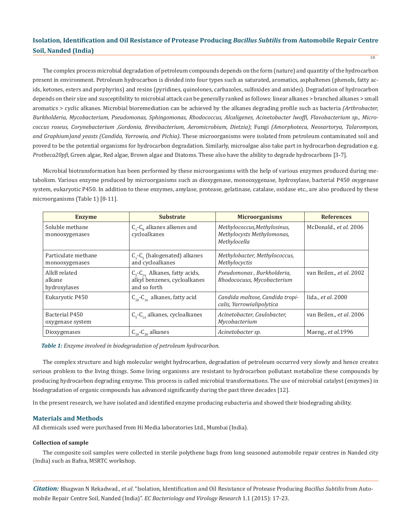The complex process microbial degradation of petroleum compounds depends on the form (nature) and quantity of the hydrocarbon present in environment. Petroleum hydrocarbon is divided into four types such as saturated, aromatics, asphaltenes (phenols, fatty acids, ketones, esters and porphyrins) and resins (pyridines, quinolones, carbazoles, sulfoxides and amides). Degradation of hydrocarbon depends on their size and susceptibility to microbial attack can be generally ranked as follows: linear alkanes > branched alkanes > small aromatics > cyclic alkanes. Microbial bioremediation can be achieved by the alkanes degrading profile such as bacteria *(Arthrobacter, Burkholderia, Mycobacterium, Pseudomonas, Sphingomonas, Rhodococcus, Alcaligenes, Acinetobacter lwoffi, Flavobacterium sp., Micrococcus roseus, Corynebacterium ,Gordonia, Brevibacterium, Aeromicrobium, Dietzia)*; Fungi *(Amorphoteca, Neosartorya, Talaromyces, and Graphium)and yeasts (Candida, Yarrowia, and Pichia)*. These microorganisms were isolated from petroleum contaminated soil and proved to be the potential organisms for hydrocarbon degradation. Similarly, microalgae also take part in hydrocarbon degradation e.g. *Protheca20pfi*, Green algae, Red algae, Brown algae and Diatoms. These also have the ability to degrade hydrocarbons [3-7].

Microbial biotransformation has been performed by these microorganisms with the help of various enzymes produced during metabolism. Various enzyme produced by microorganisms such as dioxygenase, monooxygenase, hydroxylase, bacterial P450 oxygenase system, eukaryotic P450. In addition to these enzymes, amylase, protease, gelatinase, catalase, oxidase etc., are also produced by these microorganisms (Table 1) [8-11].

| <b>Enzyme</b>                          | <b>Substrate</b>                                                                         | <b>Microorganisms</b>                                                      | <b>References</b>          |  |  |
|----------------------------------------|------------------------------------------------------------------------------------------|----------------------------------------------------------------------------|----------------------------|--|--|
| Soluble methane<br>monooxygenases      | $C_1$ - $C_8$ alkanes alkenes and<br>cycloalkanes                                        | Methylococcus, Methylosinus,<br>Methylocysts Methylomonas,<br>Methylocella | McDonald., et al. 2006     |  |  |
| Particulate methane<br>monooxygenases  | $C_1$ - $C_5$ (halogenated) alkanes<br>and cycloalkanes                                  | Methylobacter, Methylococcus,<br>Methylocyctis                             |                            |  |  |
| AlkB related<br>alkane<br>hydroxylases | $C_{5}$ - $C_{16}$ Alkanes, fatty acids,<br>alkyl benzenes, cycloalkanes<br>and so forth | Pseudomonas, Burkholderia,<br>Rhodococuus, Mycobacterium                   | van Beilen., et al. 2002   |  |  |
| Eukaryotic P450                        | $C_{10}$ - $C_{16}$ alkanes, fatty acid                                                  | Candida maltose, Candida tropi-<br>calis, Yarrowialipolytica               | lida., et al. 2000         |  |  |
| Bacterial P450<br>oxygenase system     | $C_{5}$ - $C_{16}$ alkanes, cycloalkanes                                                 | Acinetobacter, Caulobacter,<br>Mycobacterium                               | van Beilen., et al. 2006   |  |  |
| Dioxygenases                           | $C_{10}$ - $C_{30}$ alkanes                                                              | Acinetobacter sp.                                                          | Maeng., <i>et al.</i> 1996 |  |  |

*Table 1: Enzyme involved in biodegradation of petroleum hydrocarbon.*

The complex structure and high molecular weight hydrocarbon, degradation of petroleum occurred very slowly and hence creates serious problem to the living things. Some living organisms are resistant to hydrocarbon pollutant metabolize these compounds by producing hydrocarbon degrading enzyme. This process is called microbial transformations. The use of microbial catalyst (enzymes) in biodegradation of organic compounds has advanced significantly during the past three decades [12].

In the present research, we have isolated and identified enzyme producing eubacteria and showed their biodegrading ability.

#### **Materials and Methods**

All chemicals used were purchased from Hi Media laboratories Ltd., Mumbai (India).

#### **Collection of sample**

The composite soil samples were collected in sterile polythene bags from long seasoned automobile repair centres in Nanded city (India) such as Bafna, MSRTC workshop.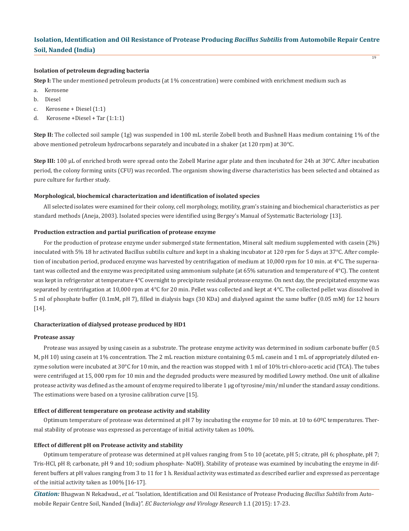#### **Isolation of petroleum degrading bacteria**

**Step I:** The under mentioned petroleum products (at 1% concentration) were combined with enrichment medium such as

- a. Kerosene
- b. Diesel
- c. Kerosene + Diesel (1:1)
- d. Kerosene +Diesel + Tar (1:1:1)

**Step II:** The collected soil sample (1g) was suspended in 100 mL sterile Zobell broth and Bushnell Haas medium containing 1% of the above mentioned petroleum hydrocarbons separately and incubated in a shaker (at 120 rpm) at 30°C.

**Step III:** 100 µL of enriched broth were spread onto the Zobell Marine agar plate and then incubated for 24h at 30°C. After incubation period, the colony forming units (CFU) was recorded. The organism showing diverse characteristics has been selected and obtained as pure culture for further study.

#### **Morphological, biochemical characterization and identification of isolated species**

All selected isolates were examined for their colony, cell morphology, motility, gram's staining and biochemical characteristics as per standard methods (Aneja, 2003). Isolated species were identified using Bergey's Manual of Systematic Bacteriology [13].

#### **Production extraction and partial purification of protease enzyme**

For the production of protease enzyme under submerged state fermentation, Mineral salt medium supplemented with casein (2%) inoculated with 5% 18 hr activated Bacillus subtilis culture and kept in a shaking incubator at 120 rpm for 5 days at 37°C. After completion of incubation period, produced enzyme was harvested by centrifugation of medium at 10,000 rpm for 10 min. at 4°C. The supernatant was collected and the enzyme was precipitated using ammonium sulphate (at 65% saturation and temperature of 4°C). The content was kept in refrigerator at temperature 4°C overnight to precipitate residual protease enzyme. On next day, the precipitated enzyme was separated by centrifugation at 10,000 rpm at  $4^{\circ}$ C for 20 min. Pellet was collected and kept at  $4^{\circ}$ C. The collected pellet was dissolved in 5 ml of phosphate buffer (0.1mM, pH 7), filled in dialysis bags (30 KDa) and dialysed against the same buffer (0.05 mM) for 12 hours [14].

#### **Characterization of dialysed protease produced by HD1**

#### **Protease assay**

Protease was assayed by using casein as a substrate. The protease enzyme activity was determined in sodium carbonate buffer (0.5 M, pH 10) using casein at 1% concentration. The 2 mL reaction mixture containing 0.5 mL casein and 1 mL of appropriately diluted enzyme solution were incubated at  $30^{\circ}$ C for 10 min, and the reaction was stopped with 1 ml of 10% tri-chloro-acetic acid (TCA). The tubes were centrifuged at 15, 000 rpm for 10 min and the degraded products were measured by modified Lowry method. One unit of alkaline protease activity was defined as the amount of enzyme required to liberate 1 μg of tyrosine/min/ml under the standard assay conditions. The estimations were based on a tyrosine calibration curve [15].

#### **Effect of different temperature on protease activity and stability**

Optimum temperature of protease was determined at pH 7 by incubating the enzyme for 10 min. at 10 to 60ºC temperatures. Thermal stability of protease was expressed as percentage of initial activity taken as 100%.

#### **Effect of different pH on Protease activity and stability**

Optimum temperature of protease was determined at pH values ranging from 5 to 10 (acetate, pH 5; citrate, pH 6; phosphate, pH 7; Tris-HCl, pH 8; carbonate, pH 9 and 10; sodium phosphate- NaOH). Stability of protease was examined by incubating the enzyme in different buffers at pH values ranging from 3 to 11 for 1 h. Residual activity was estimated as described earlier and expressed as percentage of the initial activity taken as 100% [16-17].

*Citation:* Bhagwan N Rekadwad., *et al*. "Isolation, Identification and Oil Resistance of Protease Producing *Bacillus Subtilis* from Automobile Repair Centre Soil, Nanded (India)". *EC Bacteriology and Virology Research* 1.1 (2015): 17-23.

19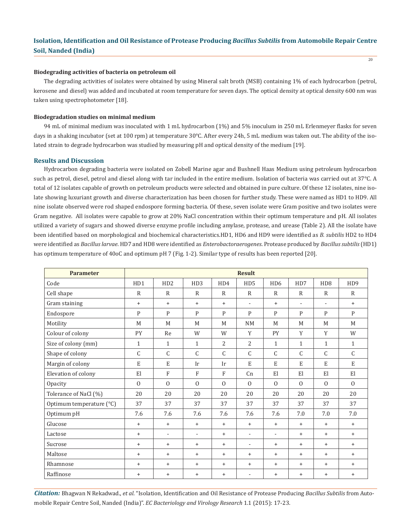$20$ 

#### **Biodegrading activities of bacteria on petroleum oil**

The degrading activities of isolates were obtained by using Mineral salt broth (MSB) containing 1% of each hydrocarbon (petrol, kerosene and diesel) was added and incubated at room temperature for seven days. The optical density at optical density 600 nm was taken using spectrophotometer [18].

#### **Biodegradation studies on minimal medium**

94 mL of minimal medium was inoculated with 1 mL hydrocarbon (1%) and 5% inoculum in 250 mL Erlenmeyer flasks for seven days in a shaking incubator (set at 100 rpm) at temperature 30°C. After every 24h, 5 mL medium was taken out. The ability of the isolated strain to degrade hydrocarbon was studied by measuring pH and optical density of the medium [19].

#### **Results and Discussion**

Hydrocarbon degrading bacteria were isolated on Zobell Marine agar and Bushnell Haas Medium using petroleum hydrocarbon such as petrol, diesel, petrol and diesel along with tar included in the entire medium. Isolation of bacteria was carried out at 37°C. A total of 12 isolates capable of growth on petroleum products were selected and obtained in pure culture. Of these 12 isolates, nine isolate showing luxuriant growth and diverse characterization has been chosen for further study. These were named as HD1 to HD9. All nine isolate observed were rod shaped endospore forming bacteria. Of these, seven isolate were Gram positive and two isolates were Gram negative. All isolates were capable to grow at 20% NaCl concentration within their optimum temperature and pH. All isolates utilized a variety of sugars and showed diverse enzyme profile including amylase, protease, and urease (Table 2). All the isolate have been identified based on morphological and biochemical characteristics.HD1, HD6 and HD9 were identified as *B. subtilis* HD2 to HD4 were identified as *Bacillus larvae*. HD7 and HD8 were identified as *Enterobactoraerogenes*. Protease produced by *Bacillus subtilis* (HD1) has optimum temperature of 40oC and optimum pH 7 (Fig. 1-2). Similar type of results has been reported [20].

| <b>Parameter</b>         | <b>Result</b>    |                          |                          |              |                          |                          |                          |                          |                  |
|--------------------------|------------------|--------------------------|--------------------------|--------------|--------------------------|--------------------------|--------------------------|--------------------------|------------------|
| Code                     | H <sub>D</sub> 1 | H <sub>D</sub> 2         | HD <sub>3</sub>          | HD4          | HD <sub>5</sub>          | H <sub>D6</sub>          | HD7                      | H <sub>D</sub> 8         | H <sub>D</sub> 9 |
| Cell shape               | $\mathbb{R}$     | R                        | $\mathbb{R}$             | $\mathbb{R}$ | $\mathbb{R}$             | $\mathbb{R}$             | $\mathbb{R}$             | R                        | $\mathbb{R}$     |
| Gram staining            | $+$              | $+$                      | $+$                      | $+$          | $\overline{\phantom{a}}$ | $+$                      | $\overline{\phantom{a}}$ | $\overline{\phantom{a}}$ | $+$              |
| Endospore                | P                | P                        | P                        | P            | P                        | P                        | P                        | P                        | $\mathbf{P}$     |
| Motility                 | M                | M                        | M                        | M            | <b>NM</b>                | M                        | M                        | M                        | M                |
| Colour of colony         | PY               | Re                       | W                        | W            | Y                        | PY                       | Y                        | Y                        | W                |
| Size of colony (mm)      | $\mathbf{1}$     | $\mathbf{1}$             | $\mathbf{1}$             | 2            | $\overline{2}$           | $\mathbf{1}$             | $\mathbf{1}$             | $\mathbf{1}$             | $\mathbf{1}$     |
| Shape of colony          | C                | $\mathsf{C}$             | $\mathsf{C}$             | $\mathsf{C}$ | C                        | $\mathsf{C}$             | $\mathsf{C}$             | $\mathsf{C}$             | $\mathsf{C}$     |
| Margin of colony         | $\mathbf E$      | $\mathbf E$              | Ir                       | Ir           | E                        | $\mathbf E$              | E                        | E                        | E                |
| Elevation of colony      | El               | F                        | F                        | $\mathbf{F}$ | C <sub>n</sub>           | El                       | El                       | E1                       | El               |
| Opacity                  | $\Omega$         | $\Omega$                 | $\Omega$                 | $\Omega$     | $\Omega$                 | $\Omega$                 | $\Omega$                 | $\Omega$                 | $\Omega$         |
| Tolerance of NaCl (%)    | 20               | 20                       | 20                       | 20           | 20                       | 20                       | 20                       | 20                       | 20               |
| Optimum temperature (°C) | 37               | 37                       | 37                       | 37           | 37                       | 37                       | 37                       | 37                       | 37               |
| Optimum pH               | 7.6              | 7.6                      | 7.6                      | 7.6          | 7.6                      | 7.6                      | 7.0                      | 7.0                      | 7.0              |
| Glucose                  | $+$              | $\ddot{}$                | $\ddot{}$                | $+$          | $\ddot{}$                | $\ddot{}$                | $+$                      | $+$                      | $+$              |
| Lactose                  | $+$              | $\overline{\phantom{a}}$ | $\overline{\phantom{a}}$ | $+$          | $\overline{\phantom{a}}$ | $\overline{\phantom{a}}$ | $+$                      | $+$                      | $+$              |
| Sucrose                  | $\ddot{}$        | $\ddot{}$                | $\ddot{}$                | $+$          | $\overline{\phantom{a}}$ | $\ddot{}$                | $^{+}$                   | $^{+}$                   | $\ddot{}$        |
| Maltose                  | $+$              | $+$                      | $+$                      | $+$          | $\ddot{}$                | $+$                      | $+$                      | $+$                      | $+$              |
| Rhamnose                 | $+$              | $+$                      | $+$                      | $+$          | $+$                      | $+$                      | $+$                      | $+$                      | $+$              |
| Raffinose                | $+$              | $\ddot{}$                | $+$                      | $+$          | $\overline{\phantom{a}}$ | $\ddot{}$                | $+$                      | $+$                      | $\ddot{}$        |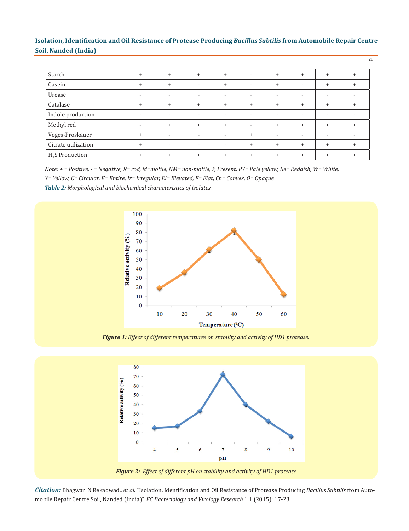21

| Starch                      | $\pm$     | $+$                      | $\ddot{}$                | $\ddot{}$                | $\sim$                   | $\ddot{}$                | $+$                      | $+$                      |  |
|-----------------------------|-----------|--------------------------|--------------------------|--------------------------|--------------------------|--------------------------|--------------------------|--------------------------|--|
| Casein                      | $\ddot{}$ | $+$                      | $\overline{\phantom{a}}$ | $\ddot{}$                | $\sim$                   | $+$                      |                          | $+$                      |  |
| Urease                      |           | $\overline{\phantom{a}}$ | $\overline{\phantom{a}}$ | $\overline{\phantom{a}}$ | $\overline{\phantom{a}}$ | $\overline{\phantom{a}}$ | $\overline{\phantom{a}}$ | $\overline{\phantom{a}}$ |  |
| Catalase                    | $\ddot{}$ | $+$                      | $\ddot{}$                | $\ddot{}$                | $+$                      | $+$                      | $+$                      | $+$                      |  |
| Indole production           |           | $\overline{\phantom{a}}$ | $\overline{\phantom{a}}$ | $\overline{\phantom{a}}$ | $\overline{\phantom{0}}$ | $\overline{\phantom{a}}$ | $\overline{\phantom{a}}$ | -                        |  |
| Methyl red                  |           | $+$                      | $\ddot{}$                | $\ddot{}$                | $\overline{\phantom{a}}$ | $+$                      | $+$                      | $+$                      |  |
| Voges-Proskauer             | $\pm$     | $\overline{\phantom{a}}$ | $\overline{\phantom{a}}$ | $\overline{\phantom{a}}$ | $+$                      | $\overline{\phantom{a}}$ | $\overline{\phantom{a}}$ |                          |  |
| Citrate utilization         |           | $\overline{\phantom{a}}$ | $\overline{\phantom{a}}$ | ٠                        | $+$                      | $+$                      | $+$                      | $^{+}$                   |  |
| H <sub>2</sub> S Production |           | $\ddot{}$                | $\ddot{}$                | $\ddot{}$                | $+$                      | $+$                      | $\ddot{}$                | $\ddot{}$                |  |

*Note: + = Positive, - = Negative, R= rod, M=motile, NM= non-motile, P, Present, PY= Pale yellow, Re= Reddish, W= White, Y= Yellow, C= Circular, E= Entire, Ir= Irregular, El= Elevated, F= Flat, Cn= Convex, O= Opaque*

*Table 2: Morphological and biochemical characteristics of isolates.*



*Figure 1: Effect of different temperatures on stability and activity of HD1 protease.*

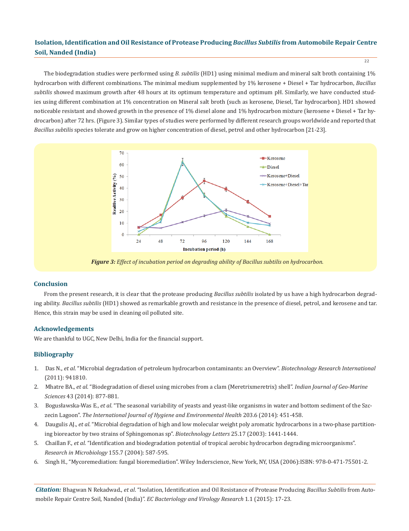The biodegradation studies were performed using *B. subtilis* (HD1) using minimal medium and mineral salt broth containing 1% hydrocarbon with different combinations. The minimal medium supplemented by 1% kerosene + Diesel + Tar hydrocarbon, *Bacillus subtilis* showed maximum growth after 48 hours at its optimum temperature and optimum pH. Similarly, we have conducted studies using different combination at 1% concentration on Mineral salt broth (such as kerosene, Diesel, Tar hydrocarbon). HD1 showed noticeable resistant and showed growth in the presence of 1% diesel alone and 1% hydrocarbon mixture (kerosene + Diesel + Tar hydrocarbon) after 72 hrs. (Figure 3). Similar types of studies were performed by different research groups worldwide and reported that *Bacillus subtilis* species tolerate and grow on higher concentration of diesel, petrol and other hydrocarbon [21-23].



*Figure 3: Effect of incubation period on degrading ability of Bacillus subtilis on hydrocarbon.*

#### **Conclusion**

From the present research, it is clear that the protease producing *Bacillus subtilis* isolated by us have a high hydrocarbon degrading ability. *Bacillus subtilis* (HD1) showed as remarkable growth and resistance in the presence of diesel, petrol, and kerosene and tar. Hence, this strain may be used in cleaning oil polluted site.

#### **Acknowledgements**

We are thankful to UGC, New Delhi, India for the financial support.

#### **Bibliography**

- 1. Das N., *et al*. "Microbial degradation of petroleum hydrocarbon contaminants: an Overview". *Biotechnology Research International* (2011): 941810.
- 2. Mhatre BA., *et al*. "Biodegradation of diesel using microbes from a clam (Meretrixmeretrix) shell". *Indian Journal of Geo-Marine Sciences* 43 (2014): 877-881.
- 3. Bogusławska-Was E., *et al*. "The seasonal variability of yeasts and yeast-like organisms in water and bottom sediment of the Szc zecin Lagoon". *The International Journal of Hygiene and Environmental Health* 203.6 (2014): 451-458.
- 4. Daugulis AJ., *et al*. "Microbial degradation of high and low molecular weight poly aromatic hydrocarbons in a two-phase partition ing bioreactor by two strains of Sphingomonas sp". *Biotechnology Letters* 25.17 (2003): 1441-1444.
- 5. Chaillan F., *et al*. "Identification and biodegradation potential of tropical aerobic hydrocarbon degrading microorganisms". *Research in Microbiology* 155.7 (2004): 587-595.
- 6. Singh H., "Mycoremediation: fungal bioremediation". Wiley Inderscience, New York, NY, USA (2006):ISBN: 978-0-471-75501-2.

*Citation:* Bhagwan N Rekadwad., *et al*. "Isolation, Identification and Oil Resistance of Protease Producing *Bacillus Subtilis* from Automobile Repair Centre Soil, Nanded (India)". *EC Bacteriology and Virology Research* 1.1 (2015): 17-23.

22